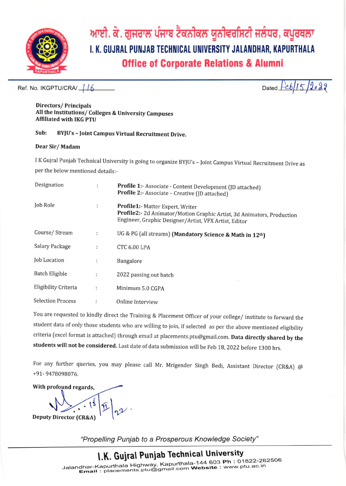

ਆਈ. ਕੇ. ਗੁਜਰਾਲ ਪੰਜਾਬ ਟੈਕਨੀਕਲ ਯੂਨੀਵਰਸਿਟੀ ਜਲੰਧਰ, ਕਪੂਰਥਲਾ I. K. GUJRAL PUNJAB TECHNICAL UNIVERSITY JALANDHAR, KAPURTHALA **Office of Corporate Relations & Alumni** 

Ref. No. IKGPTU/CRA/ 16

 $6/15/2022$ Dated  $\overline{e}$ 

#### **Directors/Principals** All the Institutions/ Colleges & University Campuses **Affiliated with IKG PTU**

#### Sub: BYJU's - Joint Campus Virtual Recruitment Drive.

#### Dear Sir/Madam

I K Gujral Punjab Technical University is going to organize BYJU's - Joint Campus Virtual Recruitment Drive as per the below mentioned details:-

| Designation              | $\ddot{\cdot}$       | Profile 1:- Associate - Content Development (JD attached)<br>Profile 2:- Associate - Creative (JD attached)                                                         |  |
|--------------------------|----------------------|---------------------------------------------------------------------------------------------------------------------------------------------------------------------|--|
| Job Role                 | ÷                    | Profile1:- Matter Expert, Writer<br>Profile2:- 2d Animator/Motion Graphic Artist, 3d Animators, Production<br>Engineer, Graphic Designer/Artist, VFX Artist, Editor |  |
| Course/Stream            | ÷                    | UG & PG (all streams) (Mandatory Science & Math in 12th)                                                                                                            |  |
| Salary Package           | ÷                    | <b>CTC 6.00 LPA</b>                                                                                                                                                 |  |
| Job Location             | $\ddot{\phantom{a}}$ | Bangalore                                                                                                                                                           |  |
| <b>Batch Eligible</b>    | $\ddot{\phantom{a}}$ | 2022 passing out batch                                                                                                                                              |  |
| Eligibility Criteria     | ÷                    | Minimum 5.0 CGPA                                                                                                                                                    |  |
| <b>Selection Process</b> |                      | Online Interview                                                                                                                                                    |  |

You are requested to kindly direct the Training & Placement Officer of your college/ institute to forward the student data of only those students who are willing to join, if selected as per the above mentioned eligibility criteria (excel format is attached) through email at placements.ptu@gmail.com. Data directly shared by the students will not be considered. Last date of data submission will be Feb 18, 2022 before 1300 hrs.

For any further queries, you may please call Mr. Mrigender Singh Bedi, Assistant Director (CR&A) @ +91-9478098076.

With profound regards, **Deputy Director (CR&A)** 

"Propelling Punjab to a Prosperous Knowledge Society"

# I.K. Gujral Punjab Technical University

Jalandhar-Kapurthala Highway, Kapurthala-144 603 Ph: 01822-282506 Email: placements.ptu@gmail.com Website : www.ptu.ac.in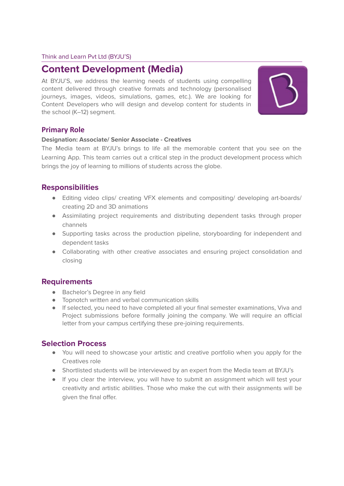#### Think and Learn Pvt Ltd (BYJU'S)

# **Content Development (Media)**

At BYJU'S, we address the learning needs of students using compelling content delivered through creative formats and technology (personalised journeys, images, videos, simulations, games, etc.). We are looking for Content Developers who will design and develop content for students in the school (K–12) segment.



#### **Primary Role**

#### **Designation: Associate/ Senior Associate - Creatives**

The Media team at BYJU's brings to life all the memorable content that you see on the Learning App. This team carries out a critical step in the product development process which brings the joy of learning to millions of students across the globe.

### **Responsibilities**

- Editing video clips/ creating VFX elements and compositing/ developing art-boards/ creating 2D and 3D animations
- Assimilating project requirements and distributing dependent tasks through proper channels
- Supporting tasks across the production pipeline, storyboarding for independent and dependent tasks
- Collaborating with other creative associates and ensuring project consolidation and closing

### **Requirements**

- Bachelor's Degree in any field
- Topnotch written and verbal communication skills
- If selected, you need to have completed all your final semester examinations, Viva and Project submissions before formally joining the company. We will require an official letter from your campus certifying these pre-joining requirements.

### **Selection Process**

- You will need to showcase your artistic and creative portfolio when you apply for the Creatives role
- Shortlisted students will be interviewed by an expert from the Media team at BYJU's
- If you clear the interview, you will have to submit an assignment which will test your creativity and artistic abilities. Those who make the cut with their assignments will be given the final offer.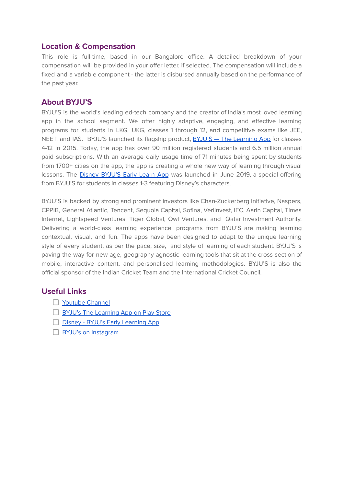### **Location & Compensation**

This role is full-time, based in our Bangalore office. A detailed breakdown of your compensation will be provided in your offer letter, if selected. The compensation will include a fixed and a variable component - the latter is disbursed annually based on the performance of the past year.

### **About BYJU'S**

BYJU'S is the world's leading ed-tech company and the creator of India's most loved learning app in the school segment. We offer highly adaptive, engaging, and effective learning programs for students in LKG, UKG, classes 1 through 12, and competitive exams like JEE, NEET, and IAS. BYJU'S launched its flagship product, **BYJU'S - The Learning App** for classes 4-12 in 2015. Today, the app has over 90 million registered students and 6.5 million annual paid subscriptions. With an average daily usage time of 71 minutes being spent by students from 1700+ cities on the app, the app is creating a whole new way of learning through visual lessons. The Disney BYJU'S Early Learn App was launched in June 2019, a special offering from BYJU'S for students in classes 1-3 featuring Disney's characters.

BYJU'S is backed by strong and prominent investors like Chan-Zuckerberg Initiative, Naspers, CPPIB, General Atlantic, Tencent, Sequoia Capital, Sofina, Verlinvest, IFC, Aarin Capital, Times Internet, Lightspeed Ventures, Tiger Global, Owl Ventures, and Qatar Investment Authority. Delivering a world-class learning experience, programs from BYJU'S are making learning contextual, visual, and fun. The apps have been designed to adapt to the unique learning style of every student, as per the pace, size, and style of learning of each student. BYJU'S is paving the way for new-age, geography-agnostic learning tools that sit at the cross-section of mobile, interactive content, and personalised learning methodologies. BYJU'S is also the official sponsor of the Indian Cricket Team and the International Cricket Council.

### **Useful Links**

- □ Youtube Channel
- **BYJU's The Learning App on Play Store**
- Disney BYJU's Early Learning App
- □ BYJU's on Instagram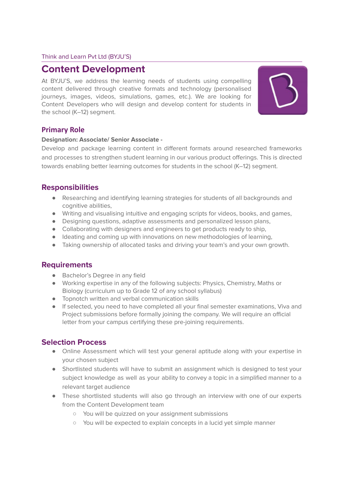#### Think and Learn Pvt Ltd (BYJU'S)

## **Content Development**

At BYJU'S, we address the learning needs of students using compelling content delivered through creative formats and technology (personalised journeys, images, videos, simulations, games, etc.). We are looking for Content Developers who will design and develop content for students in the school (K–12) segment.



#### **Primary Role**

#### **Designation: Associate/ Senior Associate -**

Develop and package learning content in different formats around researched frameworks and processes to strengthen student learning in our various product offerings. This is directed towards enabling better learning outcomes for students in the school (K–12) segment.

### **Responsibilities**

- Researching and identifying learning strategies for students of all backgrounds and cognitive abilities,
- Writing and visualising intuitive and engaging scripts for videos, books, and games,
- Designing questions, adaptive assessments and personalized lesson plans,
- Collaborating with designers and engineers to get products ready to ship,
- Ideating and coming up with innovations on new methodologies of learning,
- Taking ownership of allocated tasks and driving your team's and your own growth.

### **Requirements**

- Bachelor's Degree in any field
- Working expertise in any of the following subjects: Physics, Chemistry, Maths or Biology (curriculum up to Grade 12 of any school syllabus)
- Topnotch written and verbal communication skills
- If selected, you need to have completed all your final semester examinations, Viva and Project submissions before formally joining the company. We will require an official letter from your campus certifying these pre-joining requirements.

### **Selection Process**

- Online Assessment which will test your general aptitude along with your expertise in your chosen subject
- Shortlisted students will have to submit an assignment which is designed to test your subject knowledge as well as your ability to convey a topic in a simplified manner to a relevant target audience
- These shortlisted students will also go through an interview with one of our experts from the Content Development team
	- You will be quizzed on your assignment submissions
	- You will be expected to explain concepts in a lucid yet simple manner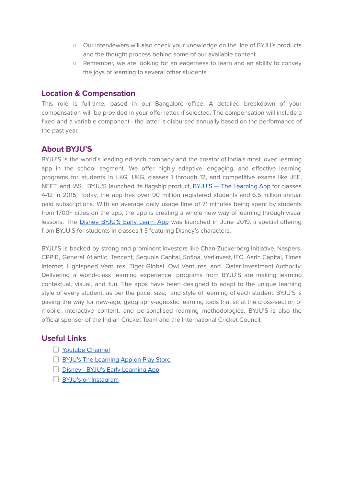- Our interviewers will also check your knowledge on the line of BYJU's products and the thought process behind some of our available content
- Remember, we are looking for an eagerness to learn and an ability to convey the joys of learning to several other students

#### **Location & Compensation**

This role is full-time, based in our Bangalore office. A detailed breakdown of your compensation will be provided in your offer letter, if selected. The compensation will include a fixed and a variable component - the latter is disbursed annually based on the performance of the past year.

#### **About BYJU'S**

BYJU'S is the world's leading ed-tech company and the creator of India's most loved learning app in the school segment. We offer highly adaptive, engaging, and effective learning programs for students in LKG, UKG, classes 1 through 12, and competitive exams like JEE, NEET, and IAS. BYJU'S launched its flagship product, BYJU'S - The Learning App for classes 4-12 in 2015. Today, the app has over 90 million registered students and 6.5 million annual paid subscriptions. With an average daily usage time of 71 minutes being spent by students from 1700+ cities on the app, the app is creating a whole new way of learning through visual lessons. The Disney BYJU'S Early Learn App was launched in June 2019, a special offering from BYJU'S for students in classes 1-3 featuring Disney's characters.

BYJU'S is backed by strong and prominent investors like Chan-Zuckerberg Initiative, Naspers, CPPIB, General Atlantic, Tencent, Sequoia Capital, Sofina, Verlinvest, IFC, Aarin Capital, Times Internet, Lightspeed Ventures, Tiger Global, Owl Ventures, and Qatar Investment Authority. Delivering a world-class learning experience, programs from BYJU'S are making learning contextual, visual, and fun. The apps have been designed to adapt to the unique learning style of every student, as per the pace, size, and style of learning of each student. BYJU'S is paving the way for new-age, geography-agnostic learning tools that sit at the cross-section of mobile, interactive content, and personalised learning methodologies. BYJU'S is also the official sponsor of the Indian Cricket Team and the International Cricket Council.

#### **Useful Links**

- $\Box$  Youtube Channel
- **BYJU's The Learning App on Play Store**
- Disney BYJU's Early Learning App
- □ BYJU's on Instagram